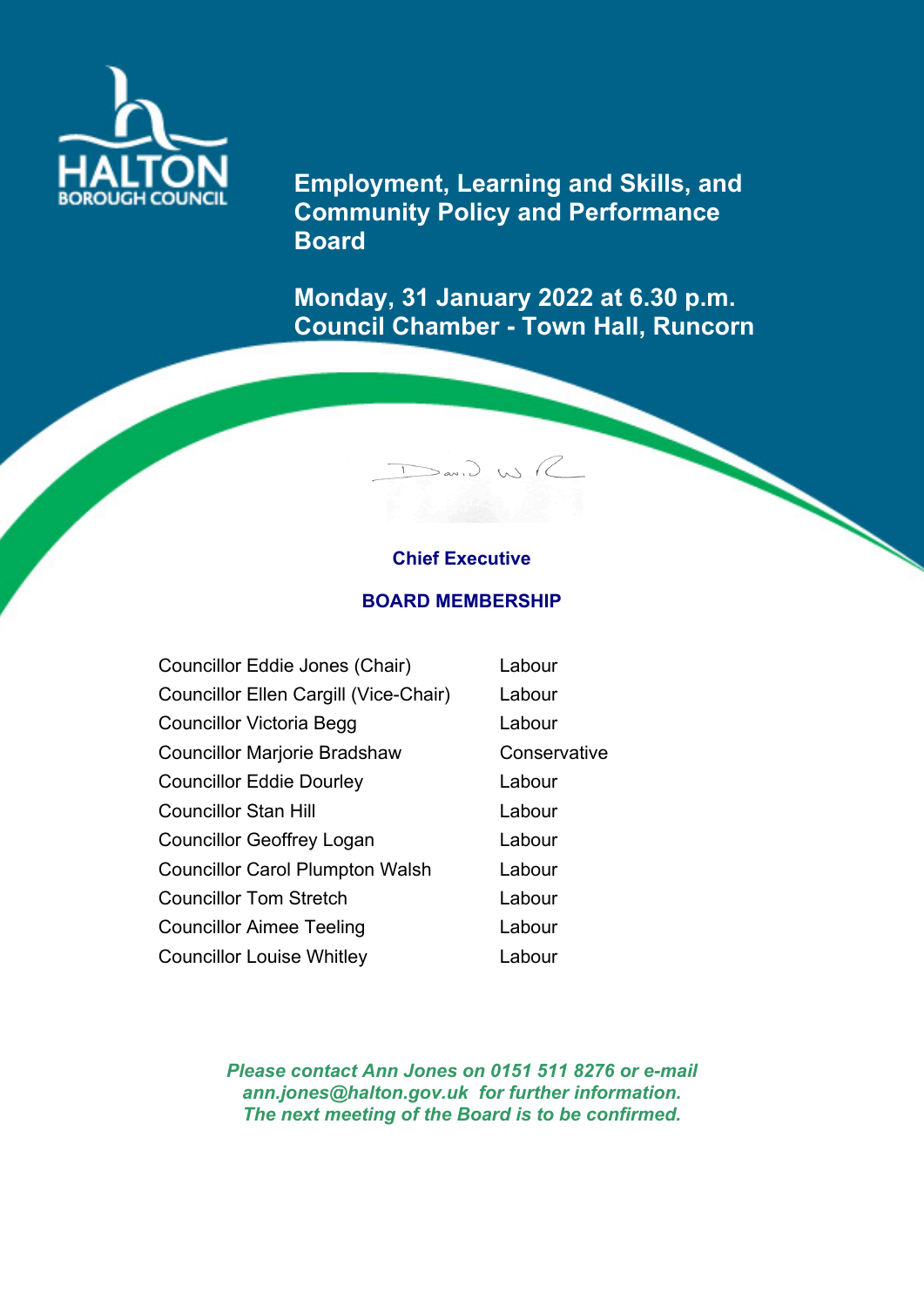

**Employment, Learning and Skills, and Community Policy and Performance Board**

**Monday, 31 January 2022 at 6.30 p.m. Council Chamber - Town Hall, Runcorn**

## **Chief Executive**

 $D$  (x)  $\bigcup_{\alpha} P_{\alpha}$ 

## **BOARD MEMBERSHIP**

| Councillor Eddie Jones (Chair)         | Labour       |
|----------------------------------------|--------------|
| Councillor Ellen Cargill (Vice-Chair)  | Labour       |
| <b>Councillor Victoria Begg</b>        | Labour       |
| <b>Councillor Marjorie Bradshaw</b>    | Conservative |
| <b>Councillor Eddie Dourley</b>        | Labour       |
| <b>Councillor Stan Hill</b>            | Labour       |
| <b>Councillor Geoffrey Logan</b>       | Labour       |
| <b>Councillor Carol Plumpton Walsh</b> | Labour       |
| <b>Councillor Tom Stretch</b>          | Labour       |
| <b>Councillor Aimee Teeling</b>        | Labour       |
| <b>Councillor Louise Whitley</b>       | Labour       |

*Please contact Ann Jones on 0151 511 8276 or e-mail ann.jones@halton.gov.uk for further information. The next meeting of the Board is to be confirmed.*